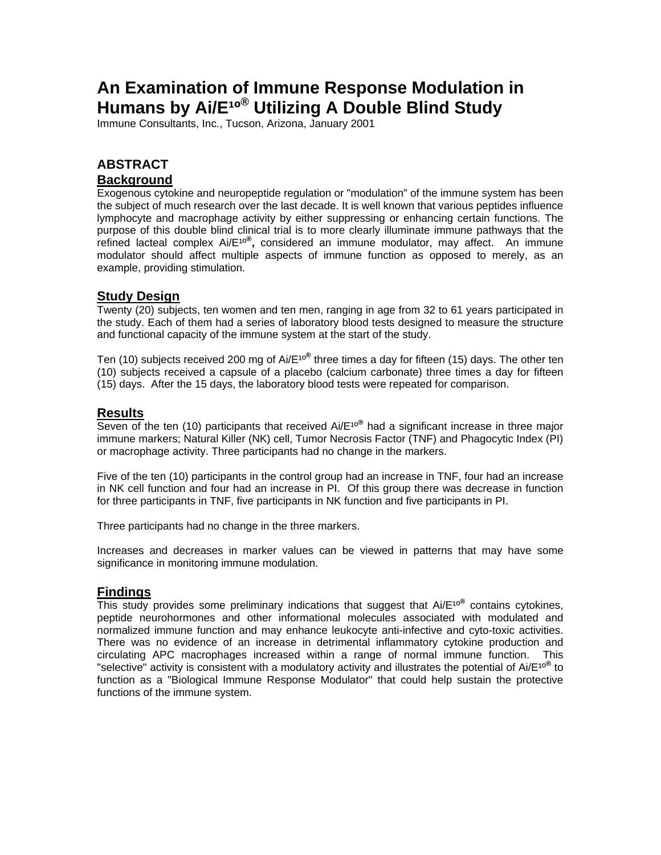# **An Examination of Immune Response Modulation in Humans by Ai/E<sup>10®</sup> Utilizing A Double Blind Study**

Immune Consultants, Inc., Tucson, Arizona, January 2001

# **ABSTRACT Background**

Exogenous cytokine and neuropeptide regulation or "modulation" of the immune system has been the subject of much research over the last decade. It is well known that various peptides influence lymphocyte and macrophage activity by either suppressing or enhancing certain functions. The purpose of this double blind clinical trial is to more clearly illuminate immune pathways that the refined lacteal complex Ai/E<sup>10®</sup>, considered an immune modulator, may affect. An immune modulator should affect multiple aspects of immune function as opposed to merely, as an example, providing stimulation.

#### **Study Design**

Twenty (20) subjects, ten women and ten men, ranging in age from 32 to 61 years participated in the study. Each of them had a series of laboratory blood tests designed to measure the structure and functional capacity of the immune system at the start of the study.

Ten (10) subjects received 200 mg of Ai/E<sup>10®</sup> three times a day for fifteen (15) days. The other ten (10) subjects received a capsule of a placebo (calcium carbonate) three times a day for fifteen (15) days. After the 15 days, the laboratory blood tests were repeated for comparison.

#### **Results**

Seven of the ten (10) participants that received Ai/E<sup>10®</sup> had a significant increase in three major immune markers; Natural Killer (NK) cell, Tumor Necrosis Factor (TNF) and Phagocytic Index (PI) or macrophage activity. Three participants had no change in the markers.

Five of the ten (10) participants in the control group had an increase in TNF, four had an increase in NK cell function and four had an increase in PI. Of this group there was decrease in function for three participants in TNF, five participants in NK function and five participants in PI.

Three participants had no change in the three markers.

Increases and decreases in marker values can be viewed in patterns that may have some significance in monitoring immune modulation.

#### **Findings**

This study provides some preliminary indications that suggest that Ai/E<sup>10®</sup> contains cytokines, peptide neurohormones and other informational molecules associated with modulated and normalized immune function and may enhance leukocyte anti-infective and cyto-toxic activities. There was no evidence of an increase in detrimental inflammatory cytokine production and circulating APC macrophages increased within a range of normal immune function. This "selective" activity is consistent with a modulatory activity and illustrates the potential of Ai/E<sup>10®</sup> to function as a "Biological Immune Response Modulator" that could help sustain the protective functions of the immune system.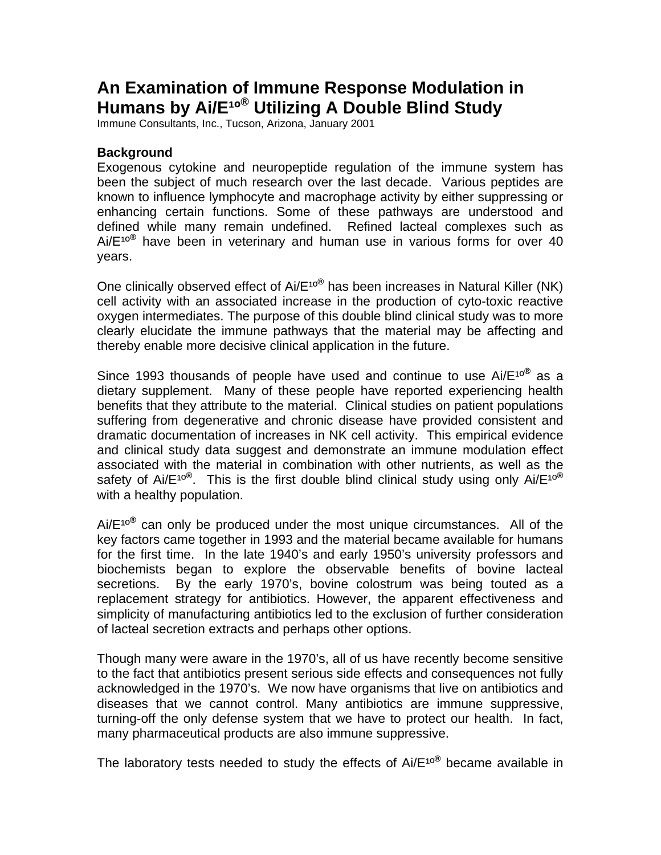# **An Examination of Immune Response Modulation in**  Humans by Ai/E<sup>10®</sup> Utilizing A Double Blind Study

Immune Consultants, Inc., Tucson, Arizona, January 2001

#### **Background**

Exogenous cytokine and neuropeptide regulation of the immune system has been the subject of much research over the last decade. Various peptides are known to influence lymphocyte and macrophage activity by either suppressing or enhancing certain functions. Some of these pathways are understood and defined while many remain undefined. Refined lacteal complexes such as Ai/E<sup>10®</sup> have been in veterinary and human use in various forms for over 40 years.

One clinically observed effect of Ai/E<sup>10®</sup> has been increases in Natural Killer (NK) cell activity with an associated increase in the production of cyto-toxic reactive oxygen intermediates. The purpose of this double blind clinical study was to more clearly elucidate the immune pathways that the material may be affecting and thereby enable more decisive clinical application in the future.

Since 1993 thousands of people have used and continue to use Ai/E<sup>10®</sup> as a dietary supplement. Many of these people have reported experiencing health benefits that they attribute to the material. Clinical studies on patient populations suffering from degenerative and chronic disease have provided consistent and dramatic documentation of increases in NK cell activity. This empirical evidence and clinical study data suggest and demonstrate an immune modulation effect associated with the material in combination with other nutrients, as well as the safety of Ai/E<sup>10®</sup>. This is the first double blind clinical study using only Ai/E<sup>10®</sup> with a healthy population.

Ai/E<sup>10®</sup> can only be produced under the most unique circumstances. All of the key factors came together in 1993 and the material became available for humans for the first time. In the late 1940's and early 1950's university professors and biochemists began to explore the observable benefits of bovine lacteal secretions. By the early 1970's, bovine colostrum was being touted as a replacement strategy for antibiotics. However, the apparent effectiveness and simplicity of manufacturing antibiotics led to the exclusion of further consideration of lacteal secretion extracts and perhaps other options.

Though many were aware in the 1970's, all of us have recently become sensitive to the fact that antibiotics present serious side effects and consequences not fully acknowledged in the 1970's. We now have organisms that live on antibiotics and diseases that we cannot control. Many antibiotics are immune suppressive, turning-off the only defense system that we have to protect our health. In fact, many pharmaceutical products are also immune suppressive.

The laboratory tests needed to study the effects of Ai/E<sup>10®</sup> became available in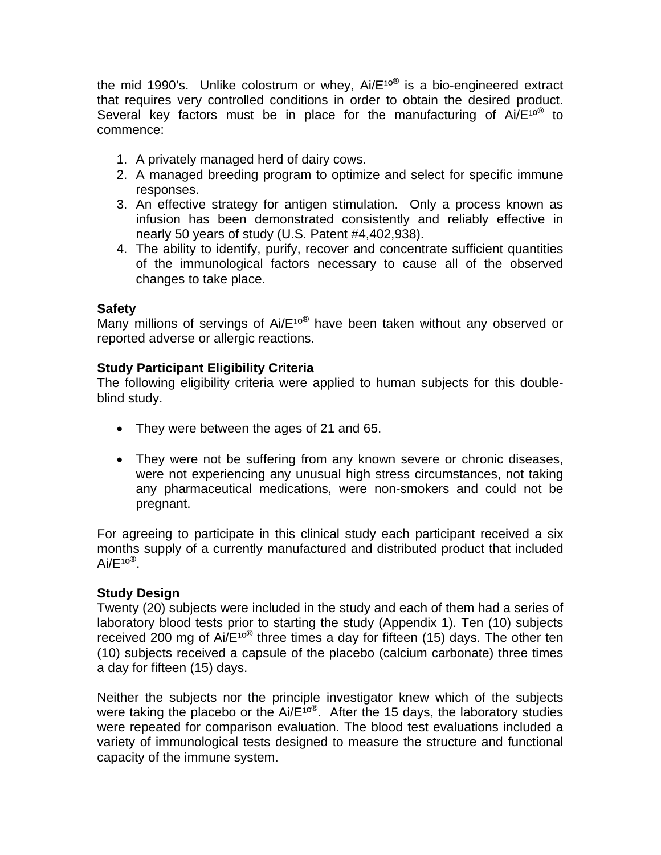the mid 1990's. Unlike colostrum or whey, Ai/E<sup>10®</sup> is a bio-engineered extract that requires very controlled conditions in order to obtain the desired product. Several key factors must be in place for the manufacturing of Ai/E<sup>10®</sup> to commence:

- 1. A privately managed herd of dairy cows.
- 2. A managed breeding program to optimize and select for specific immune responses.
- 3. An effective strategy for antigen stimulation. Only a process known as infusion has been demonstrated consistently and reliably effective in nearly 50 years of study (U.S. Patent #4,402,938).
- 4. The ability to identify, purify, recover and concentrate sufficient quantities of the immunological factors necessary to cause all of the observed changes to take place.

## **Safety**

Many millions of servings of Ai/E<sup>10®</sup> have been taken without any observed or reported adverse or allergic reactions.

## **Study Participant Eligibility Criteria**

The following eligibility criteria were applied to human subjects for this doubleblind study.

- They were between the ages of 21 and 65.
- They were not be suffering from any known severe or chronic diseases, were not experiencing any unusual high stress circumstances, not taking any pharmaceutical medications, were non-smokers and could not be pregnant.

For agreeing to participate in this clinical study each participant received a six months supply of a currently manufactured and distributed product that included  $Ai/E^{10^{\circledR}}$ .

## **Study Design**

Twenty (20) subjects were included in the study and each of them had a series of laboratory blood tests prior to starting the study (Appendix 1). Ten (10) subjects received 200 mg of  $Ai/E^{10}$ <sup>®</sup> three times a day for fifteen (15) days. The other ten (10) subjects received a capsule of the placebo (calcium carbonate) three times a day for fifteen (15) days.

Neither the subjects nor the principle investigator knew which of the subjects were taking the placebo or the Ai/ $E^{10}$ <sup>®</sup>. After the 15 days, the laboratory studies were repeated for comparison evaluation. The blood test evaluations included a variety of immunological tests designed to measure the structure and functional capacity of the immune system.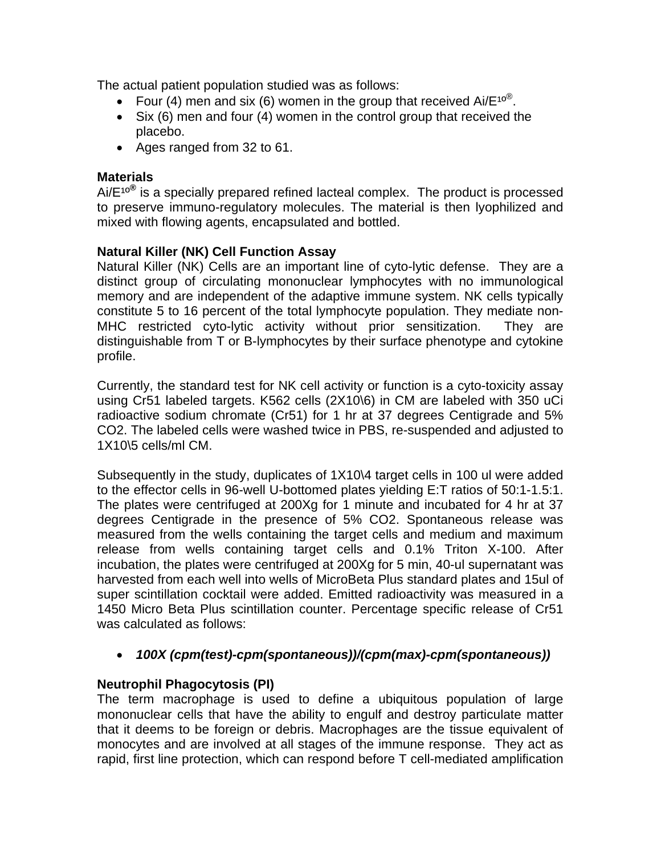The actual patient population studied was as follows:

- Four (4) men and six (6) women in the group that received Ai/ $E^{10\%}$ .
- Six (6) men and four (4) women in the control group that received the placebo.
- Ages ranged from 32 to 61.

## **Materials**

Ai/E<sup>10®</sup> is a specially prepared refined lacteal complex. The product is processed to preserve immuno-regulatory molecules. The material is then lyophilized and mixed with flowing agents, encapsulated and bottled.

## **Natural Killer (NK) Cell Function Assay**

Natural Killer (NK) Cells are an important line of cyto-lytic defense. They are a distinct group of circulating mononuclear lymphocytes with no immunological memory and are independent of the adaptive immune system. NK cells typically constitute 5 to 16 percent of the total lymphocyte population. They mediate non-MHC restricted cyto-lytic activity without prior sensitization. They are distinguishable from T or B-lymphocytes by their surface phenotype and cytokine profile.

Currently, the standard test for NK cell activity or function is a cyto-toxicity assay using Cr51 labeled targets. K562 cells (2X10\6) in CM are labeled with 350 uCi radioactive sodium chromate (Cr51) for 1 hr at 37 degrees Centigrade and 5% CO2. The labeled cells were washed twice in PBS, re-suspended and adjusted to 1X10\5 cells/ml CM.

Subsequently in the study, duplicates of 1X10\4 target cells in 100 ul were added to the effector cells in 96-well U-bottomed plates yielding E:T ratios of 50:1-1.5:1. The plates were centrifuged at 200Xg for 1 minute and incubated for 4 hr at 37 degrees Centigrade in the presence of 5% CO2. Spontaneous release was measured from the wells containing the target cells and medium and maximum release from wells containing target cells and 0.1% Triton X-100. After incubation, the plates were centrifuged at 200Xg for 5 min, 40-ul supernatant was harvested from each well into wells of MicroBeta Plus standard plates and 15ul of super scintillation cocktail were added. Emitted radioactivity was measured in a 1450 Micro Beta Plus scintillation counter. Percentage specific release of Cr51 was calculated as follows:

## • *100X (cpm(test)-cpm(spontaneous))/(cpm(max)-cpm(spontaneous))*

## **Neutrophil Phagocytosis (PI)**

The term macrophage is used to define a ubiquitous population of large mononuclear cells that have the ability to engulf and destroy particulate matter that it deems to be foreign or debris. Macrophages are the tissue equivalent of monocytes and are involved at all stages of the immune response. They act as rapid, first line protection, which can respond before T cell-mediated amplification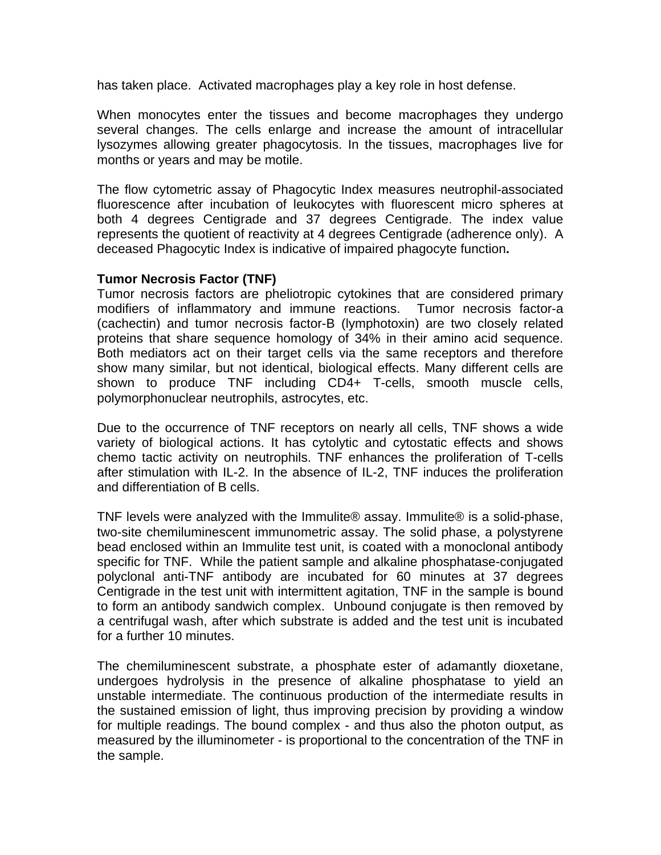has taken place. Activated macrophages play a key role in host defense.

When monocytes enter the tissues and become macrophages they undergo several changes. The cells enlarge and increase the amount of intracellular lysozymes allowing greater phagocytosis. In the tissues, macrophages live for months or years and may be motile.

The flow cytometric assay of Phagocytic Index measures neutrophil-associated fluorescence after incubation of leukocytes with fluorescent micro spheres at both 4 degrees Centigrade and 37 degrees Centigrade. The index value represents the quotient of reactivity at 4 degrees Centigrade (adherence only). A deceased Phagocytic Index is indicative of impaired phagocyte function**.** 

#### **Tumor Necrosis Factor (TNF)**

Tumor necrosis factors are pheliotropic cytokines that are considered primary modifiers of inflammatory and immune reactions. Tumor necrosis factor-a (cachectin) and tumor necrosis factor-B (lymphotoxin) are two closely related proteins that share sequence homology of 34% in their amino acid sequence. Both mediators act on their target cells via the same receptors and therefore show many similar, but not identical, biological effects. Many different cells are shown to produce TNF including CD4+ T-cells, smooth muscle cells, polymorphonuclear neutrophils, astrocytes, etc.

Due to the occurrence of TNF receptors on nearly all cells, TNF shows a wide variety of biological actions. It has cytolytic and cytostatic effects and shows chemo tactic activity on neutrophils. TNF enhances the proliferation of T-cells after stimulation with IL-2. In the absence of IL-2, TNF induces the proliferation and differentiation of B cells.

TNF levels were analyzed with the Immulite® assay. Immulite® is a solid-phase, two-site chemiluminescent immunometric assay. The solid phase, a polystyrene bead enclosed within an Immulite test unit, is coated with a monoclonal antibody specific for TNF. While the patient sample and alkaline phosphatase-conjugated polyclonal anti-TNF antibody are incubated for 60 minutes at 37 degrees Centigrade in the test unit with intermittent agitation, TNF in the sample is bound to form an antibody sandwich complex. Unbound conjugate is then removed by a centrifugal wash, after which substrate is added and the test unit is incubated for a further 10 minutes.

The chemiluminescent substrate, a phosphate ester of adamantly dioxetane, undergoes hydrolysis in the presence of alkaline phosphatase to yield an unstable intermediate. The continuous production of the intermediate results in the sustained emission of light, thus improving precision by providing a window for multiple readings. The bound complex - and thus also the photon output, as measured by the illuminometer - is proportional to the concentration of the TNF in the sample.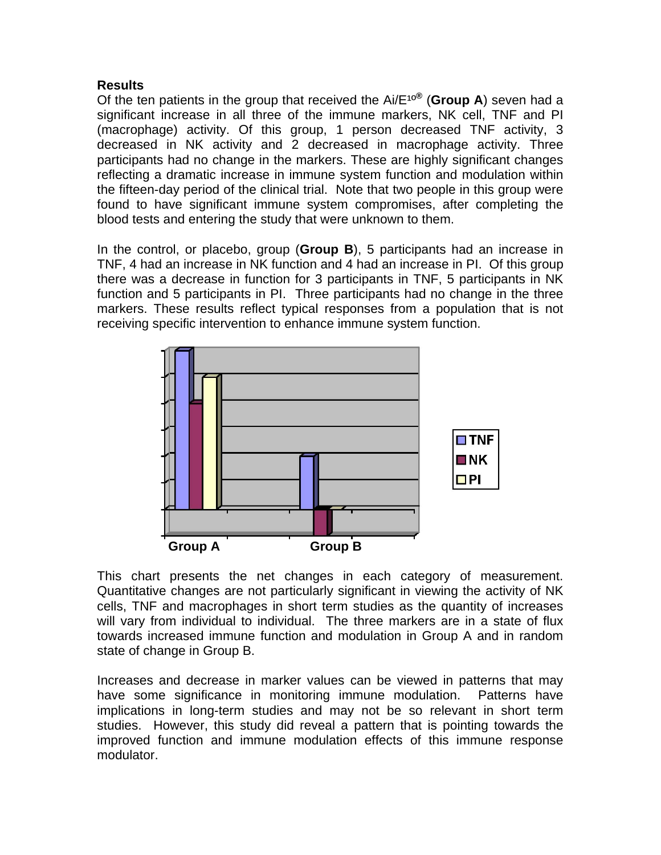## **Results**

Of the ten patients in the group that received the  $Ai/E^{10\%}$  (**Group A**) seven had a significant increase in all three of the immune markers, NK cell, TNF and PI (macrophage) activity. Of this group, 1 person decreased TNF activity, 3 decreased in NK activity and 2 decreased in macrophage activity. Three participants had no change in the markers. These are highly significant changes reflecting a dramatic increase in immune system function and modulation within the fifteen-day period of the clinical trial. Note that two people in this group were found to have significant immune system compromises, after completing the blood tests and entering the study that were unknown to them.

In the control, or placebo, group (**Group B**), 5 participants had an increase in TNF, 4 had an increase in NK function and 4 had an increase in PI. Of this group there was a decrease in function for 3 participants in TNF, 5 participants in NK function and 5 participants in PI. Three participants had no change in the three markers. These results reflect typical responses from a population that is not receiving specific intervention to enhance immune system function.



This chart presents the net changes in each category of measurement. Quantitative changes are not particularly significant in viewing the activity of NK cells, TNF and macrophages in short term studies as the quantity of increases will vary from individual to individual. The three markers are in a state of flux towards increased immune function and modulation in Group A and in random state of change in Group B.

Increases and decrease in marker values can be viewed in patterns that may have some significance in monitoring immune modulation. Patterns have implications in long-term studies and may not be so relevant in short term studies. However, this study did reveal a pattern that is pointing towards the improved function and immune modulation effects of this immune response modulator.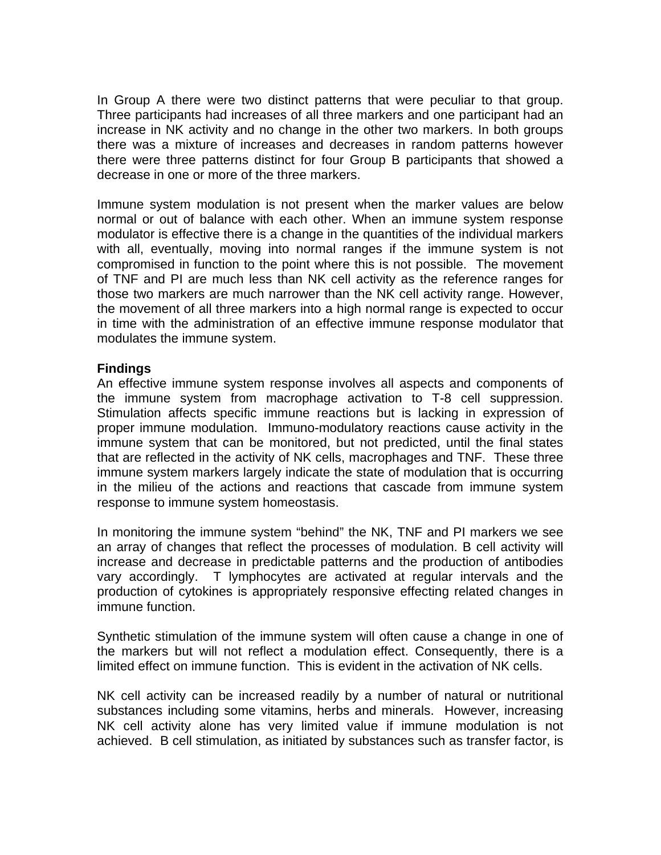In Group A there were two distinct patterns that were peculiar to that group. Three participants had increases of all three markers and one participant had an increase in NK activity and no change in the other two markers. In both groups there was a mixture of increases and decreases in random patterns however there were three patterns distinct for four Group B participants that showed a decrease in one or more of the three markers.

Immune system modulation is not present when the marker values are below normal or out of balance with each other. When an immune system response modulator is effective there is a change in the quantities of the individual markers with all, eventually, moving into normal ranges if the immune system is not compromised in function to the point where this is not possible. The movement of TNF and PI are much less than NK cell activity as the reference ranges for those two markers are much narrower than the NK cell activity range. However, the movement of all three markers into a high normal range is expected to occur in time with the administration of an effective immune response modulator that modulates the immune system.

## **Findings**

An effective immune system response involves all aspects and components of the immune system from macrophage activation to T-8 cell suppression. Stimulation affects specific immune reactions but is lacking in expression of proper immune modulation. Immuno-modulatory reactions cause activity in the immune system that can be monitored, but not predicted, until the final states that are reflected in the activity of NK cells, macrophages and TNF. These three immune system markers largely indicate the state of modulation that is occurring in the milieu of the actions and reactions that cascade from immune system response to immune system homeostasis.

In monitoring the immune system "behind" the NK, TNF and PI markers we see an array of changes that reflect the processes of modulation. B cell activity will increase and decrease in predictable patterns and the production of antibodies vary accordingly. T lymphocytes are activated at regular intervals and the production of cytokines is appropriately responsive effecting related changes in immune function.

Synthetic stimulation of the immune system will often cause a change in one of the markers but will not reflect a modulation effect. Consequently, there is a limited effect on immune function. This is evident in the activation of NK cells.

NK cell activity can be increased readily by a number of natural or nutritional substances including some vitamins, herbs and minerals. However, increasing NK cell activity alone has very limited value if immune modulation is not achieved. B cell stimulation, as initiated by substances such as transfer factor, is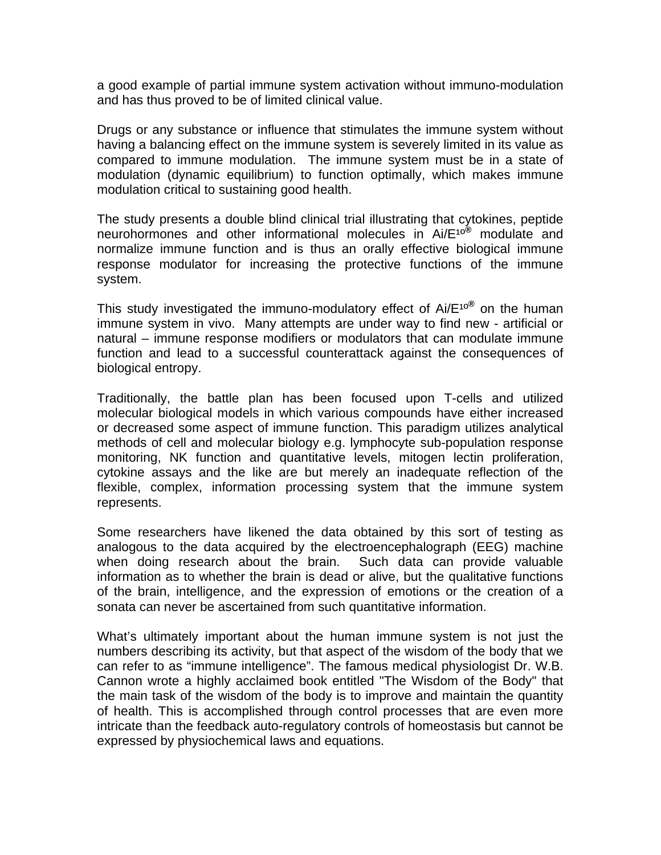a good example of partial immune system activation without immuno-modulation and has thus proved to be of limited clinical value.

Drugs or any substance or influence that stimulates the immune system without having a balancing effect on the immune system is severely limited in its value as compared to immune modulation. The immune system must be in a state of modulation (dynamic equilibrium) to function optimally, which makes immune modulation critical to sustaining good health.

The study presents a double blind clinical trial illustrating that cytokines, peptide neurohormones and other informational molecules in Ai/E<sup>10®</sup> modulate and normalize immune function and is thus an orally effective biological immune response modulator for increasing the protective functions of the immune system.

This study investigated the immuno-modulatory effect of Ai/E<sup>10®</sup> on the human immune system in vivo. Many attempts are under way to find new - artificial or natural – immune response modifiers or modulators that can modulate immune function and lead to a successful counterattack against the consequences of biological entropy.

Traditionally, the battle plan has been focused upon T-cells and utilized molecular biological models in which various compounds have either increased or decreased some aspect of immune function. This paradigm utilizes analytical methods of cell and molecular biology e.g. lymphocyte sub-population response monitoring, NK function and quantitative levels, mitogen lectin proliferation, cytokine assays and the like are but merely an inadequate reflection of the flexible, complex, information processing system that the immune system represents.

Some researchers have likened the data obtained by this sort of testing as analogous to the data acquired by the electroencephalograph (EEG) machine when doing research about the brain. Such data can provide valuable information as to whether the brain is dead or alive, but the qualitative functions of the brain, intelligence, and the expression of emotions or the creation of a sonata can never be ascertained from such quantitative information.

What's ultimately important about the human immune system is not just the numbers describing its activity, but that aspect of the wisdom of the body that we can refer to as "immune intelligence". The famous medical physiologist Dr. W.B. Cannon wrote a highly acclaimed book entitled "The Wisdom of the Body" that the main task of the wisdom of the body is to improve and maintain the quantity of health. This is accomplished through control processes that are even more intricate than the feedback auto-regulatory controls of homeostasis but cannot be expressed by physiochemical laws and equations.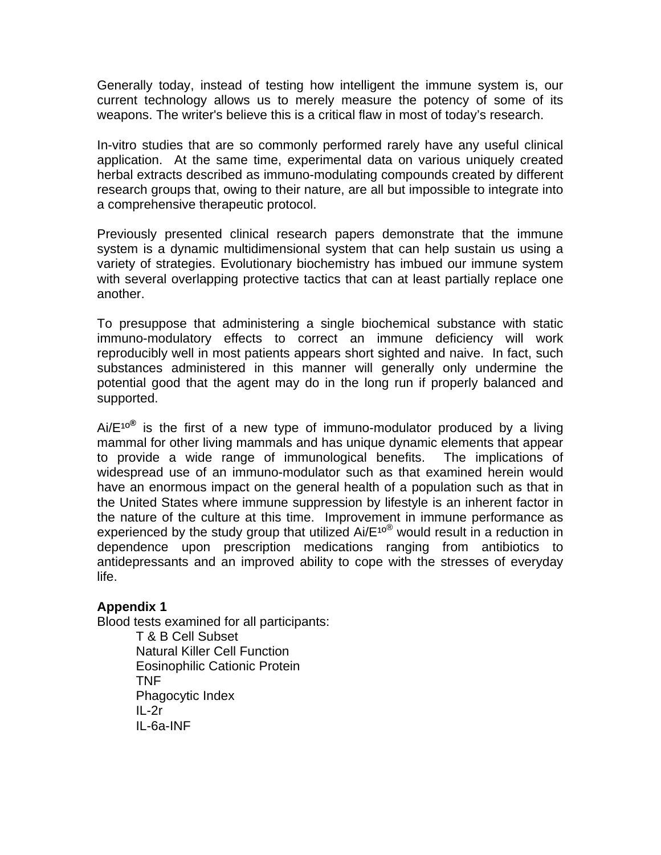Generally today, instead of testing how intelligent the immune system is, our current technology allows us to merely measure the potency of some of its weapons. The writer's believe this is a critical flaw in most of today's research.

In-vitro studies that are so commonly performed rarely have any useful clinical application. At the same time, experimental data on various uniquely created herbal extracts described as immuno-modulating compounds created by different research groups that, owing to their nature, are all but impossible to integrate into a comprehensive therapeutic protocol.

Previously presented clinical research papers demonstrate that the immune system is a dynamic multidimensional system that can help sustain us using a variety of strategies. Evolutionary biochemistry has imbued our immune system with several overlapping protective tactics that can at least partially replace one another.

To presuppose that administering a single biochemical substance with static immuno-modulatory effects to correct an immune deficiency will work reproducibly well in most patients appears short sighted and naive. In fact, such substances administered in this manner will generally only undermine the potential good that the agent may do in the long run if properly balanced and supported.

 $Ai/E^{10<sup>®</sup>}$  is the first of a new type of immuno-modulator produced by a living mammal for other living mammals and has unique dynamic elements that appear to provide a wide range of immunological benefits. The implications of widespread use of an immuno-modulator such as that examined herein would have an enormous impact on the general health of a population such as that in the United States where immune suppression by lifestyle is an inherent factor in the nature of the culture at this time. Improvement in immune performance as experienced by the study group that utilized  $Ai/E^{10}$  would result in a reduction in dependence upon prescription medications ranging from antibiotics to antidepressants and an improved ability to cope with the stresses of everyday life.

## **Appendix 1**

Blood tests examined for all participants:

T & B Cell Subset Natural Killer Cell Function Eosinophilic Cationic Protein TNF Phagocytic Index  $II - 2r$ IL-6a-INF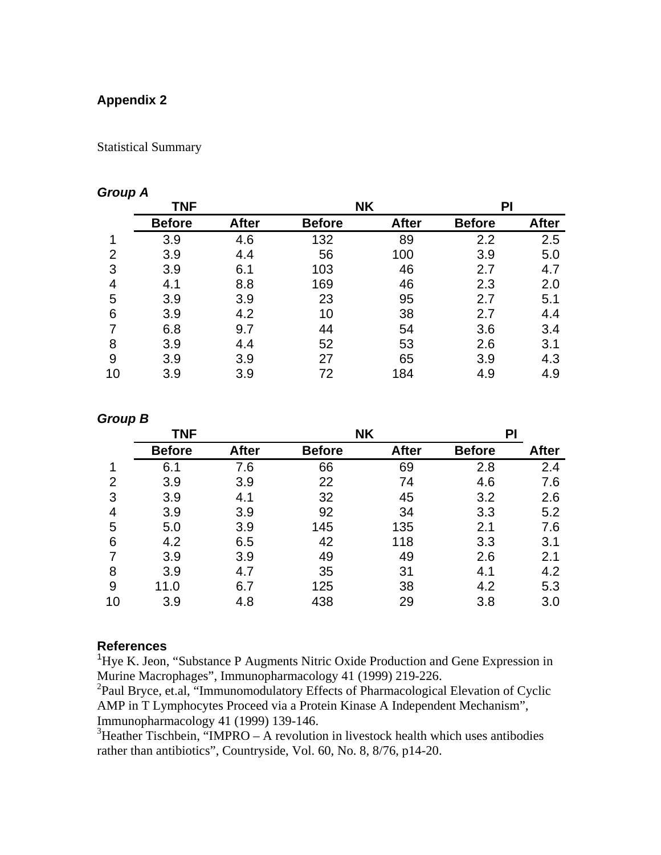# **Appendix 2**

Statistical Summary

## *Group A*

|    | <b>TNF</b>    |              | <b>NK</b>     |              | PI            |              |
|----|---------------|--------------|---------------|--------------|---------------|--------------|
|    | <b>Before</b> | <b>After</b> | <b>Before</b> | <b>After</b> | <b>Before</b> | <b>After</b> |
| 1  | 3.9           | 4.6          | 132           | 89           | 2.2           | 2.5          |
| 2  | 3.9           | 4.4          | 56            | 100          | 3.9           | 5.0          |
| 3  | 3.9           | 6.1          | 103           | 46           | 2.7           | 4.7          |
| 4  | 4.1           | 8.8          | 169           | 46           | 2.3           | 2.0          |
| 5  | 3.9           | 3.9          | 23            | 95           | 2.7           | 5.1          |
| 6  | 3.9           | 4.2          | 10            | 38           | 2.7           | 4.4          |
|    | 6.8           | 9.7          | 44            | 54           | 3.6           | 3.4          |
| 8  | 3.9           | 4.4          | 52            | 53           | 2.6           | 3.1          |
| 9  | 3.9           | 3.9          | 27            | 65           | 3.9           | 4.3          |
| 10 | 3.9           | 3.9          | 72            | 184          | 4.9           | 4.9          |

## *Group B*

|    | <b>TNF</b>    |              | <b>NK</b>     |              | PI            |              |
|----|---------------|--------------|---------------|--------------|---------------|--------------|
|    | <b>Before</b> | <b>After</b> | <b>Before</b> | <b>After</b> | <b>Before</b> | <b>After</b> |
| 1  | 6.1           | 7.6          | 66            | 69           | 2.8           | 2.4          |
| 2  | 3.9           | 3.9          | 22            | 74           | 4.6           | 7.6          |
| 3  | 3.9           | 4.1          | 32            | 45           | 3.2           | 2.6          |
| 4  | 3.9           | 3.9          | 92            | 34           | 3.3           | 5.2          |
| 5  | 5.0           | 3.9          | 145           | 135          | 2.1           | 7.6          |
| 6  | 4.2           | 6.5          | 42            | 118          | 3.3           | 3.1          |
|    | 3.9           | 3.9          | 49            | 49           | 2.6           | 2.1          |
| 8  | 3.9           | 4.7          | 35            | 31           | 4.1           | 4.2          |
| 9  | 11.0          | 6.7          | 125           | 38           | 4.2           | 5.3          |
| 10 | 3.9           | 4.8          | 438           | 29           | 3.8           | 3.0          |

#### **References**

<sup>1</sup>Hye K. Jeon, "Substance P Augments Nitric Oxide Production and Gene Expression in Murine Macrophages", Immunopharmacology 41 (1999) 219-226.

<sup>2</sup>Paul Bryce, et.al, "Immunomodulatory Effects of Pharmacological Elevation of Cyclic AMP in T Lymphocytes Proceed via a Protein Kinase A Independent Mechanism", Immunopharmacology 41 (1999) 139-146.

 $3$ Heather Tischbein, "IMPRO – A revolution in livestock health which uses antibodies rather than antibiotics", Countryside, Vol. 60, No. 8, 8/76, p14-20.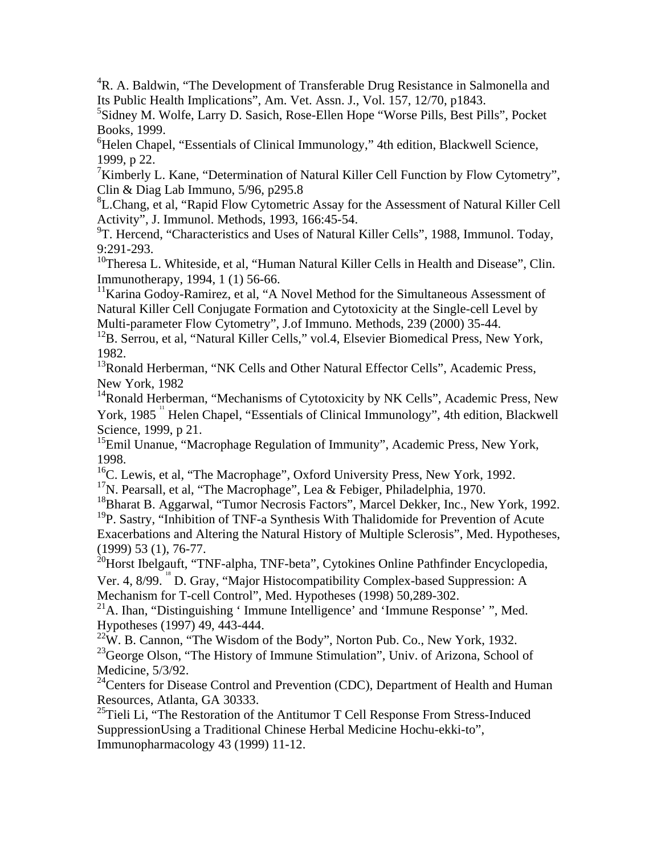<sup>4</sup>R. A. Baldwin, "The Development of Transferable Drug Resistance in Salmonella and Its Public Health Implications", Am. Vet. Assn. J., Vol. 157, 12/70, p1843.

5 Sidney M. Wolfe, Larry D. Sasich, Rose-Ellen Hope "Worse Pills, Best Pills", Pocket Books, 1999.

<sup>6</sup>Helen Chapel, "Essentials of Clinical Immunology," 4th edition, Blackwell Science, 1999, p 22.

<sup>7</sup>Kimberly L. Kane, "Determination of Natural Killer Cell Function by Flow Cytometry", Clin & Diag Lab Immuno, 5/96, p295.8

<sup>8</sup>L.Chang, et al, "Rapid Flow Cytometric Assay for the Assessment of Natural Killer Cell Activity", J. Immunol. Methods, 1993, 166:45-54.

<sup>9</sup>T. Hercend, "Characteristics and Uses of Natural Killer Cells", 1988, Immunol. Today, 9:291-293.

<sup>10</sup>Theresa L. Whiteside, et al, "Human Natural Killer Cells in Health and Disease", Clin. Immunotherapy, 1994, 1 (1) 56-66.

<sup>11</sup>Karina Godoy-Ramirez, et al, "A Novel Method for the Simultaneous Assessment of Natural Killer Cell Conjugate Formation and Cytotoxicity at the Single-cell Level by Multi-parameter Flow Cytometry", J.of Immuno. Methods, 239 (2000) 35-44.

 $12B$ . Serrou, et al, "Natural Killer Cells," vol.4, Elsevier Biomedical Press, New York, 1982.

<sup>13</sup>Ronald Herberman, "NK Cells and Other Natural Effector Cells", Academic Press, New York, 1982

<sup>14</sup>Ronald Herberman, "Mechanisms of Cytotoxicity by NK Cells", Academic Press, New York, 1985<sup>"</sup> Helen Chapel, "Essentials of Clinical Immunology", 4th edition, Blackwell Science, 1999, p 21.

<sup>15</sup>Emil Unanue, "Macrophage Regulation of Immunity", Academic Press, New York, 1998.

<sup>16</sup>C. Lewis, et al, "The Macrophage", Oxford University Press, New York, 1992.

<sup>17</sup>N. Pearsall, et al, "The Macrophage", Lea & Febiger, Philadelphia, 1970.

18Bharat B. Aggarwal, "Tumor Necrosis Factors", Marcel Dekker, Inc., New York, 1992. <sup>19</sup>P. Sastry, "Inhibition of TNF-a Synthesis With Thalidomide for Prevention of Acute Exacerbations and Altering the Natural History of Multiple Sclerosis", Med. Hypotheses, (1999) 53 (1), 76-77.

<sup>20</sup>Horst Ibelgauft, "TNF-alpha, TNF-beta", Cytokines Online Pathfinder Encyclopedia,

Ver. 4, 8/99. <sup>18</sup> D. Gray, "Major Histocompatibility Complex-based Suppression: A Mechanism for T-cell Control", Med. Hypotheses (1998) 50,289-302.

 $^{21}$ A. Ihan, "Distinguishing ' Immune Intelligence' and 'Immune Response' ", Med. Hypotheses (1997) 49, 443-444.

 $22W$ . B. Cannon, "The Wisdom of the Body", Norton Pub. Co., New York, 1932. <sup>23</sup>George Olson, "The History of Immune Stimulation", Univ. of Arizona, School of Medicine, 5/3/92.

<sup>24</sup>Centers for Disease Control and Prevention (CDC), Department of Health and Human Resources, Atlanta, GA 30333.

<sup>25</sup>Tieli Li, "The Restoration of the Antitumor T Cell Response From Stress-Induced SuppressionUsing a Traditional Chinese Herbal Medicine Hochu-ekki-to", Immunopharmacology 43 (1999) 11-12.